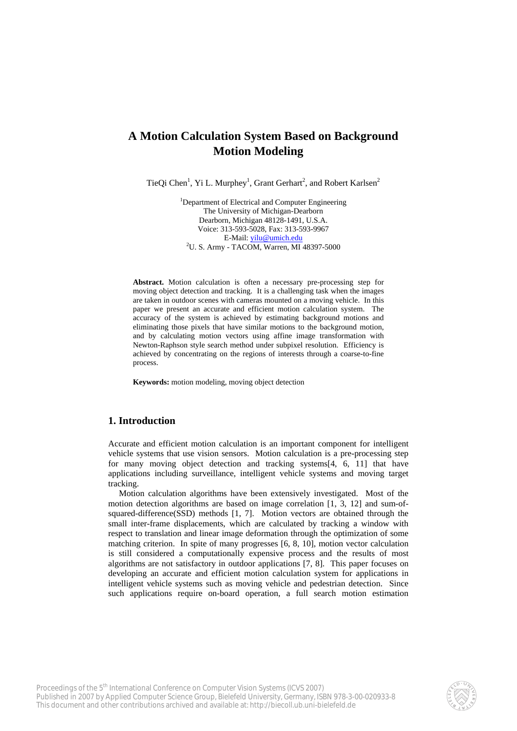# **A Motion Calculation System Based on Background Motion Modeling**

TieQi Chen<sup>1</sup>, Yi L. Murphey<sup>1</sup>, Grant Gerhart<sup>2</sup>, and Robert Karlsen<sup>2</sup>

<sup>1</sup>Department of Electrical and Computer Engineering The University of Michigan-Dearborn Dearborn, Michigan 48128-1491, U.S.A. Voice: 313-593-5028, Fax: 313-593-9967 E-Mail: [yilu@umich.edu](mailto:yilu@umich.edu) <sup>2</sup> <sup>2</sup>U. S. Army - TACOM, Warren, MI 48397-5000

**Abstract.** Motion calculation is often a necessary pre-processing step for moving object detection and tracking. It is a challenging task when the images are taken in outdoor scenes with cameras mounted on a moving vehicle. In this paper we present an accurate and efficient motion calculation system. The accuracy of the system is achieved by estimating background motions and eliminating those pixels that have similar motions to the background motion, and by calculating motion vectors using affine image transformation with Newton-Raphson style search method under subpixel resolution. Efficiency is achieved by concentrating on the regions of interests through a coarse-to-fine process.

**Keywords:** motion modeling, moving object detection

## **1. Introduction**

Accurate and efficient motion calculation is an important component for intelligent vehicle systems that use vision sensors. Motion calculation is a pre-processing step for many moving object detection and tracking systems[4, 6, 11] that have applications including surveillance, intelligent vehicle systems and moving target tracking.

Motion calculation algorithms have been extensively investigated. Most of the motion detection algorithms are based on image correlation [1, 3, 12] and sum-ofsquared-difference(SSD) methods [1, 7]. Motion vectors are obtained through the small inter-frame displacements, which are calculated by tracking a window with respect to translation and linear image deformation through the optimization of some matching criterion. In spite of many progresses [6, 8, 10], motion vector calculation is still considered a computationally expensive process and the results of most algorithms are not satisfactory in outdoor applications [7, 8]. This paper focuses on developing an accurate and efficient motion calculation system for applications in intelligent vehicle systems such as moving vehicle and pedestrian detection. Since such applications require on-board operation, a full search motion estimation

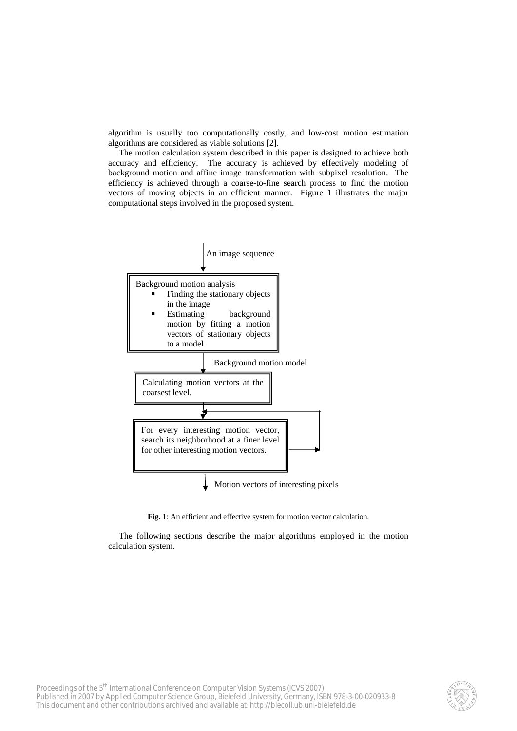algorithm is usually too computationally costly, and low-cost motion estimation algorithms are considered as viable solutions [2].

The motion calculation system described in this paper is designed to achieve both accuracy and efficiency. The accuracy is achieved by effectively modeling of background motion and affine image transformation with subpixel resolution. The efficiency is achieved through a coarse-to-fine search process to find the motion vectors of moving objects in an efficient manner. Figure 1 illustrates the major computational steps involved in the proposed system.



Fig. 1: An efficient and effective system for motion vector calculation.

The following sections describe the major algorithms employed in the motion calculation system.

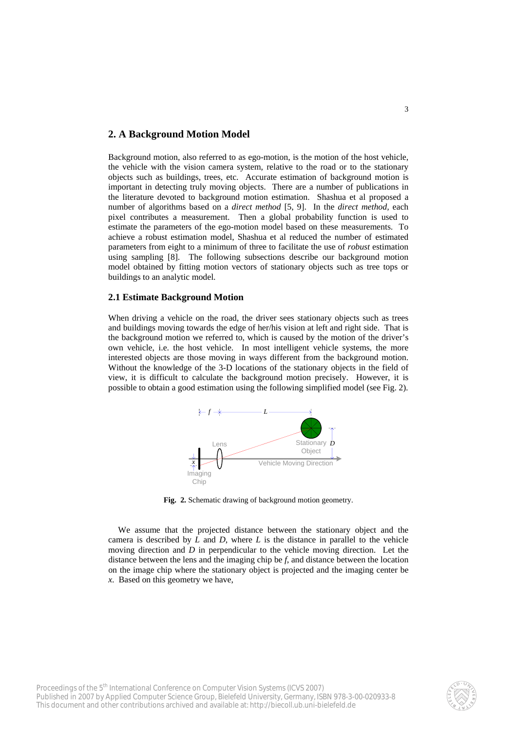# **2. A Background Motion Model**

Background motion, also referred to as ego-motion, is the motion of the host vehicle, the vehicle with the vision camera system, relative to the road or to the stationary objects such as buildings, trees, etc. Accurate estimation of background motion is important in detecting truly moving objects. There are a number of publications in the literature devoted to background motion estimation. Shashua et al proposed a number of algorithms based on a *direct method* [5, 9]. In the *direct method,* each pixel contributes a measurement. Then a global probability function is used to estimate the parameters of the ego-motion model based on these measurements. To achieve a robust estimation model, Shashua et al reduced the number of estimated parameters from eight to a minimum of three to facilitate the use of *robust* estimation using sampling [8]. The following subsections describe our background motion model obtained by fitting motion vectors of stationary objects such as tree tops or buildings to an analytic model.

## **2.1 Estimate Background Motion**

When driving a vehicle on the road, the driver sees stationary objects such as trees and buildings moving towards the edge of her/his vision at left and right side. That is the background motion we referred to, which is caused by the motion of the driver's own vehicle, i.e. the host vehicle. In most intelligent vehicle systems, the more interested objects are those moving in ways different from the background motion. Without the knowledge of the 3-D locations of the stationary objects in the field of view, it is difficult to calculate the background motion precisely. However, it is possible to obtain a good estimation using the following simplified model (see Fig. 2).



**Fig. 2.** Schematic drawing of background motion geometry.

We assume that the projected distance between the stationary object and the camera is described by *L* and *D*, where *L* is the distance in parallel to the vehicle moving direction and *D* in perpendicular to the vehicle moving direction. Let the distance between the lens and the imaging chip be *f*, and distance between the location on the image chip where the stationary object is projected and the imaging center be *x*. Based on this geometry we have,

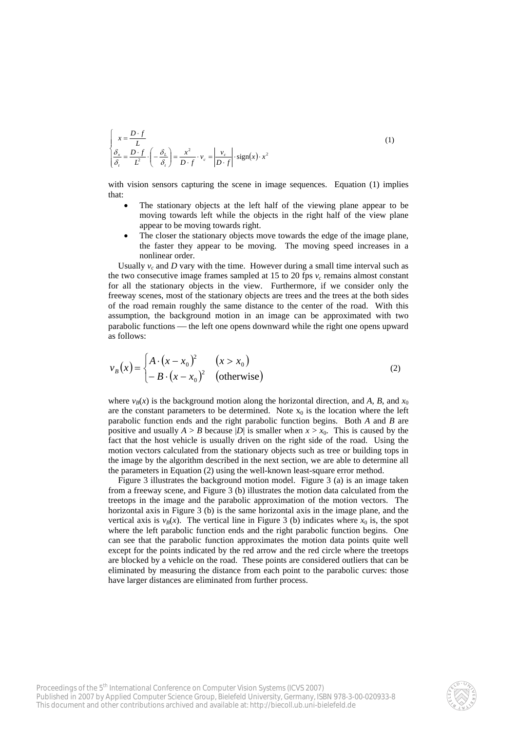$$
\begin{cases}\n x = \frac{D \cdot f}{L} \\
 \frac{\delta_x}{\delta_t} = \frac{D \cdot f}{L^2} \cdot \left( -\frac{\delta_L}{\delta_t} \right) = \frac{x^2}{D \cdot f} \cdot v_c = \left| \frac{v_c}{D \cdot f} \right| \cdot \text{sign}(x) \cdot x^2\n\end{cases}
$$
\n(1)

with vision sensors capturing the scene in image sequences. Equation (1) implies that:

- The stationary objects at the left half of the viewing plane appear to be moving towards left while the objects in the right half of the view plane appear to be moving towards right.
- The closer the stationary objects move towards the edge of the image plane, the faster they appear to be moving. The moving speed increases in a nonlinear order.

Usually  $v_c$  and *D* vary with the time. However during a small time interval such as the two consecutive image frames sampled at 15 to 20 fps  $v_c$  remains almost constant for all the stationary objects in the view. Furthermore, if we consider only the freeway scenes, most of the stationary objects are trees and the trees at the both sides of the road remain roughly the same distance to the center of the road. With this assumption, the background motion in an image can be approximated with two parabolic functions — the left one opens downward while the right one opens upward as follows:

$$
v_B(x) = \begin{cases} A \cdot (x - x_0)^2 & (x > x_0) \\ -B \cdot (x - x_0)^2 & \text{(otherwise)} \end{cases} \tag{2}
$$

where  $v_B(x)$  is the background motion along the horizontal direction, and *A*, *B*, and  $x_0$ are the constant parameters to be determined. Note  $x_0$  is the location where the left parabolic function ends and the right parabolic function begins. Both *A* and *B* are positive and usually  $A > B$  because  $|D|$  is smaller when  $x > x_0$ . This is caused by the fact that the host vehicle is usually driven on the right side of the road. Using the motion vectors calculated from the stationary objects such as tree or building tops in the image by the algorithm described in the next section, we are able to determine all the parameters in Equation (2) using the well-known least-square error method.

Figure 3 illustrates the background motion model. Figure 3 (a) is an image taken from a freeway scene, and Figure 3 (b) illustrates the motion data calculated from the treetops in the image and the parabolic approximation of the motion vectors. The horizontal axis in Figure 3 (b) is the same horizontal axis in the image plane, and the vertical axis is  $v_B(x)$ . The vertical line in Figure 3 (b) indicates where  $x_0$  is, the spot where the left parabolic function ends and the right parabolic function begins. One can see that the parabolic function approximates the motion data points quite well except for the points indicated by the red arrow and the red circle where the treetops are blocked by a vehicle on the road. These points are considered outliers that can be eliminated by measuring the distance from each point to the parabolic curves: those have larger distances are eliminated from further process.

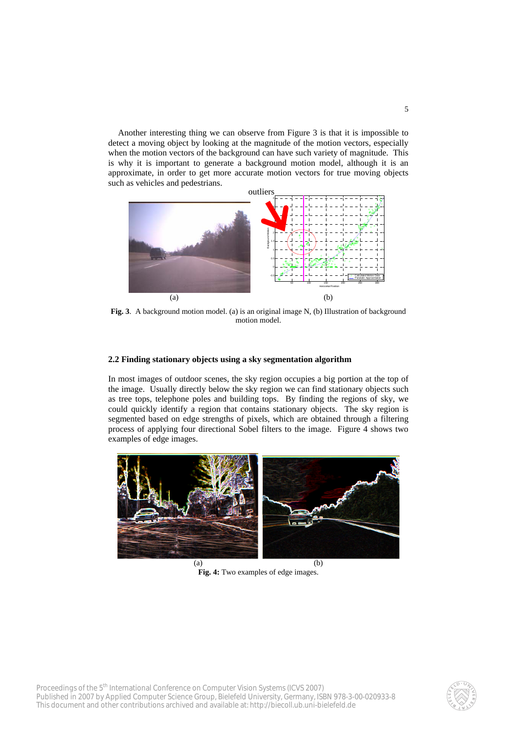Another interesting thing we can observe from Figure 3 is that it is impossible to detect a moving object by looking at the magnitude of the motion vectors, especially when the motion vectors of the background can have such variety of magnitude. This is why it is important to generate a background motion model, although it is an approximate, in order to get more accurate motion vectors for true moving objects such as vehicles and pedestrians.



**Fig. 3**. A background motion model. (a) is an original image N, (b) Illustration of background motion model.

#### **2.2 Finding stationary objects using a sky segmentation algorithm**

In most images of outdoor scenes, the sky region occupies a big portion at the top of the image. Usually directly below the sky region we can find stationary objects such as tree tops, telephone poles and building tops. By finding the regions of sky, we could quickly identify a region that contains stationary objects. The sky region is segmented based on edge strengths of pixels, which are obtained through a filtering process of applying four directional Sobel filters to the image. Figure 4 shows two examples of edge images.



**Fig. 4:** Two examples of edge images.

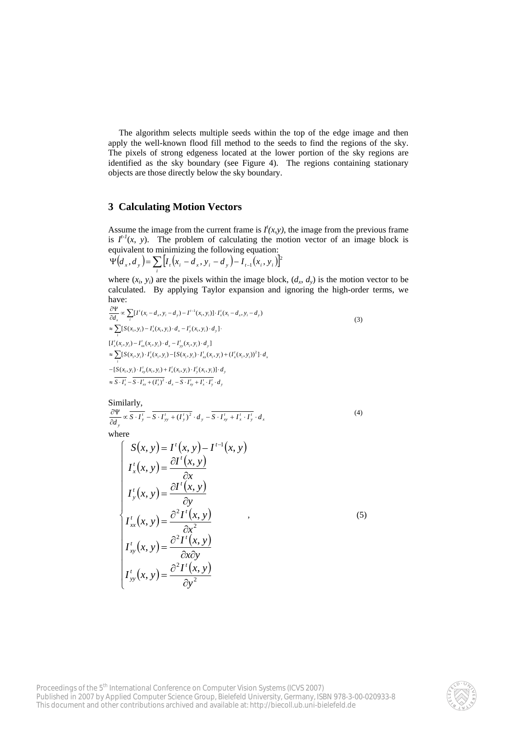The algorithm selects multiple seeds within the top of the edge image and then apply the well-known flood fill method to the seeds to find the regions of the sky. The pixels of strong edgeness located at the lower portion of the sky regions are identified as the sky boundary (see Figure 4). The regions containing stationary objects are those directly below the sky boundary.

## **3 Calculating Motion Vectors**

Assume the image from the current frame is  $I'(x, y)$ , the image from the previous frame is  $I^{t-1}(x, y)$ . The problem of calculating the motion vector of an image block is equivalent to minimizing the following equation:

$$
\Psi(d_x, d_y) = \sum_i [I_i(x_i - d_x, y_i - d_y) - I_{i-1}(x_i, y_i)]^2
$$

where  $(x_i, y_i)$  are the pixels within the image block,  $(d_x, d_y)$  is the motion vector to be calculated. By applying Taylor expansion and ignoring the high-order terms, we have:

$$
\frac{\partial \Psi}{\partial d_x} \propto \sum_{i} [I^i(x_i - d_x, y_i - d_y) - I^{i-1}(x_i, y_i)] \cdot I_x^i(x_i - d_x, y_i - d_y)
$$
\n
$$
\approx \sum_{i} [S(x_i, y_i) - I_x^i(x_i, y_i) \cdot d_x - I_y^i(x_i, y_i) \cdot d_y].
$$
\n
$$
[I_x^i(x_i, y_i) - I_{xx}^i(x_i, y_i) \cdot d_x - I_{yy}^i(x_i, y_i) \cdot d_y]
$$
\n
$$
\approx \sum_{i} [S(x_i, y_i) \cdot I_x^i(x_i, y_i) - [S(x_i, y_i) \cdot I_{xx}^i(x_i, y_i) + (I_x^i(x_i, y_i))^2] \cdot d_x
$$
\n
$$
-[S(x_i, y_i) \cdot I_{xy}^i(x_i, y_i) + I_x^i(x_i, y_i) \cdot I_y^i(x_i, y_i)] \cdot d_y
$$
\n
$$
\approx \overline{S \cdot I_x^i} - \overline{S \cdot I_{xx}^i + (I_x^i)^2} \cdot d_x - \overline{S \cdot I_{xy}^i + I_x^i \cdot I_y^i} \cdot d_y
$$
\n(3)

Similarly,

 $\frac{\partial \Psi}{\partial d_y} \propto \overline{S \cdot I'_y} - \overline{S \cdot I'_{yy} + (I'_y)^2} \cdot d_y - \overline{S \cdot I'_{xy} + I'_x \cdot I'_y} \cdot d_x$ (4)

where

$$
\begin{cases}\nS(x, y) = I'(x, y) - I^{-1}(x, y) \\
I_x'(x, y) = \frac{\partial I'(x, y)}{\partial x} \\
I_y'(x, y) = \frac{\partial I'(x, y)}{\partial y} \\
I_{xx}'(x, y) = \frac{\partial^2 I'(x, y)}{\partial x^2} \\
I_{xy}'(x, y) = \frac{\partial^2 I'(x, y)}{\partial x \partial y} \\
I_{yy}'(x, y) = \frac{\partial^2 I'(x, y)}{\partial y^2}\n\end{cases} (5)
$$

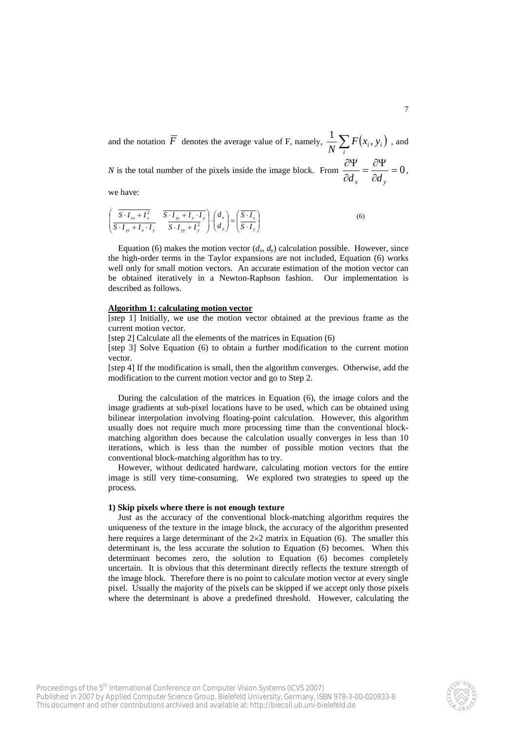and the notation  $\overline{F}$  denotes the average value of F, namely,  $\frac{1}{N} \sum_{i} F(x_i, y_i)$ , and

*N* is the total number of the pixels inside the image block. From  $\frac{U_1}{V_2} = \frac{U_1}{V_1} = 0$  $\frac{\partial \Psi}{\partial d_x} = \frac{\partial \Psi}{\partial d_y}$  $\frac{d}{d_x} = \frac{\partial f}{\partial d_y} = 0,$ 

we have:

$$
\left(\frac{\overline{S \cdot I_{xx} + I_x^2}}{\overline{S \cdot I_{xy} + I_x \cdot I_y}} \cdot \frac{\overline{S \cdot I_{xy} + I_x \cdot I_y}}{\overline{S \cdot I_{yy} + I_y^2}}\right) \cdot \left(\frac{d_x}{d_y}\right) = \left(\frac{\overline{S \cdot I_x}}{\overline{S \cdot I_y}}\right)
$$
\n(6)

Equation (6) makes the motion vector  $(d_x, d_y)$  calculation possible. However, since the high-order terms in the Taylor expansions are not included, Equation (6) works well only for small motion vectors. An accurate estimation of the motion vector can be obtained iteratively in a Newton-Raphson fashion. Our implementation is described as follows.

#### **Algorithm 1: calculating motion vector**

[step 1] Initially, we use the motion vector obtained at the previous frame as the current motion vector.

[step 2] Calculate all the elements of the matrices in Equation (6)

[step 3] Solve Equation (6) to obtain a further modification to the current motion vector.

[step 4] If the modification is small, then the algorithm converges. Otherwise, add the modification to the current motion vector and go to Step 2.

During the calculation of the matrices in Equation (6), the image colors and the image gradients at sub-pixel locations have to be used, which can be obtained using bilinear interpolation involving floating-point calculation. However, this algorithm usually does not require much more processing time than the conventional blockmatching algorithm does because the calculation usually converges in less than 10 iterations, which is less than the number of possible motion vectors that the conventional block-matching algorithm has to try.

However, without dedicated hardware, calculating motion vectors for the entire image is still very time-consuming. We explored two strategies to speed up the process.

#### **1) Skip pixels where there is not enough texture**

Just as the accuracy of the conventional block-matching algorithm requires the uniqueness of the texture in the image block, the accuracy of the algorithm presented here requires a large determinant of the  $2\times 2$  matrix in Equation (6). The smaller this determinant is, the less accurate the solution to Equation (6) becomes. When this determinant becomes zero, the solution to Equation (6) becomes completely uncertain. It is obvious that this determinant directly reflects the texture strength of the image block. Therefore there is no point to calculate motion vector at every single pixel. Usually the majority of the pixels can be skipped if we accept only those pixels where the determinant is above a predefined threshold. However, calculating the

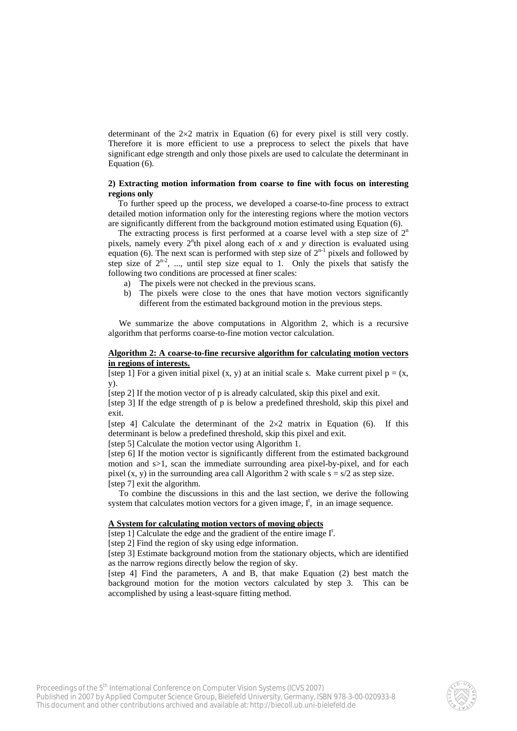determinant of the  $2\times2$  matrix in Equation (6) for every pixel is still very costly. Therefore it is more efficient to use a preprocess to select the pixels that have significant edge strength and only those pixels are used to calculate the determinant in Equation (6).

## **2) Extracting motion information from coarse to fine with focus on interesting regions only**

To further speed up the process, we developed a coarse-to-fine process to extract detailed motion information only for the interesting regions where the motion vectors are significantly different from the background motion estimated using Equation (6).

The extracting process is first performed at a coarse level with a step size of  $2<sup>n</sup>$ pixels, namely every  $2<sup>n</sup>$ th pixel along each of *x* and *y* direction is evaluated using equation (6). The next scan is performed with step size of  $2^{n-1}$  pixels and followed by step size of  $2^{n-2}$ , ..., until step size equal to 1. Only the pixels that satisfy the following two conditions are processed at finer scales:

- a) The pixels were not checked in the previous scans.
- b) The pixels were close to the ones that have motion vectors significantly different from the estimated background motion in the previous steps.

We summarize the above computations in Algorithm 2, which is a recursive algorithm that performs coarse-to-fine motion vector calculation.

#### **Algorithm 2: A coarse-to-fine recursive algorithm for calculating motion vectors in regions of interests.**

[step 1] For a given initial pixel  $(x, y)$  at an initial scale s. Make current pixel  $p = (x,$ y).

[step 2] If the motion vector of p is already calculated, skip this pixel and exit.

[step 3] If the edge strength of p is below a predefined threshold, skip this pixel and exit.

[step 4] Calculate the determinant of the  $2\times 2$  matrix in Equation (6). If this determinant is below a predefined threshold, skip this pixel and exit.

[step 5] Calculate the motion vector using Algorithm 1.

[step 6] If the motion vector is significantly different from the estimated background motion and s>1, scan the immediate surrounding area pixel-by-pixel, and for each pixel  $(x, y)$  in the surrounding area call Algorithm 2 with scale  $s = s/2$  as step size. [step 7] exit the algorithm.

To combine the discussions in this and the last section, we derive the following system that calculates motion vectors for a given image,  $I^t$ , in an image sequence.

## **A System for calculating motion vectors of moving objects**

[step 1] Calculate the edge and the gradient of the entire image  $I^t$ .

[step 2] Find the region of sky using edge information.

[step 3] Estimate background motion from the stationary objects, which are identified as the narrow regions directly below the region of sky.

[step 4] Find the parameters, A and B, that make Equation (2) best match the background motion for the motion vectors calculated by step 3. This can be accomplished by using a least-square fitting method.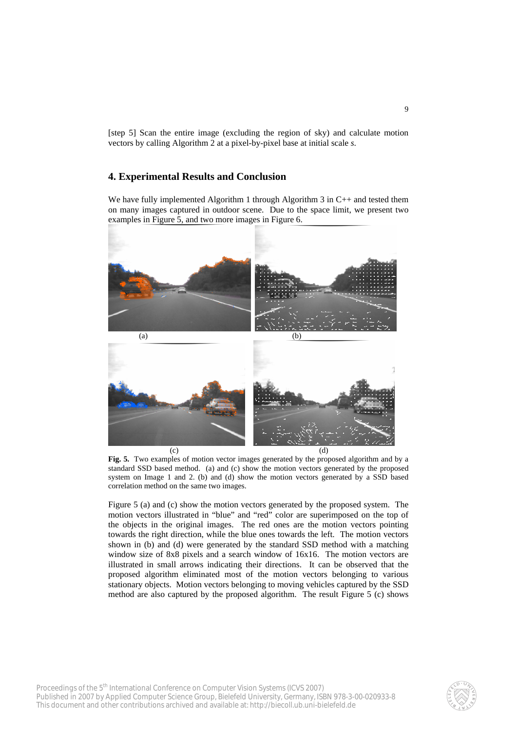[step 5] Scan the entire image (excluding the region of sky) and calculate motion vectors by calling Algorithm 2 at a pixel-by-pixel base at initial scale *s*.

# **4. Experimental Results and Conclusion**

We have fully implemented Algorithm 1 through Algorithm 3 in C++ and tested them on many images captured in outdoor scene. Due to the space limit, we present two examples in Figure 5, and two more images in Figure 6.



**Fig. 5.** Two examples of motion vector images generated by the proposed algorithm and by a standard SSD based method. (a) and (c) show the motion vectors generated by the proposed system on Image 1 and 2. (b) and (d) show the motion vectors generated by a SSD based correlation method on the same two images.

Figure 5 (a) and (c) show the motion vectors generated by the proposed system. The motion vectors illustrated in "blue" and "red" color are superimposed on the top of the objects in the original images. The red ones are the motion vectors pointing towards the right direction, while the blue ones towards the left. The motion vectors shown in (b) and (d) were generated by the standard SSD method with a matching window size of 8x8 pixels and a search window of 16x16. The motion vectors are illustrated in small arrows indicating their directions. It can be observed that the proposed algorithm eliminated most of the motion vectors belonging to various stationary objects. Motion vectors belonging to moving vehicles captured by the SSD method are also captured by the proposed algorithm. The result Figure 5 (c) shows